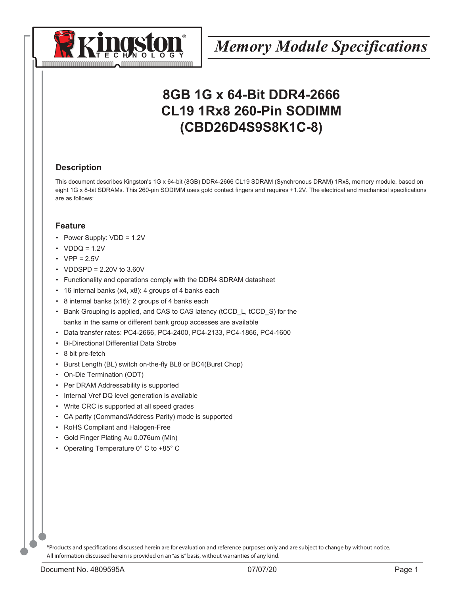

## **8GB 1G x 64-Bit DDR4-2666 CL19 1Rx8 260-Pin SODIMM (CBD26D4S9S8K1C-8)**

#### **Description**

This document describes Kingston's 1G x 64-bit (8GB) DDR4-2666 CL19 SDRAM (Synchronous DRAM) 1Rx8, memory module, based on eight 1G x 8-bit SDRAMs. This 260-pin SODIMM uses gold contact fingers and requires +1.2V. The electrical and mechanical specifications are as follows:

#### **Feature**

- Power Supply: VDD = 1.2V
- $\cdot$  VDDQ = 1.2V
- $VPP = 2.5V$
- VDDSPD = 2.20V to 3.60V
- Functionality and operations comply with the DDR4 SDRAM datasheet
- 16 internal banks (x4, x8): 4 groups of 4 banks each
- 8 internal banks (x16): 2 groups of 4 banks each
- Bank Grouping is applied, and CAS to CAS latency (tCCD L, tCCD S) for the banks in the same or different bank group accesses are available
- Data transfer rates: PC4-2666, PC4-2400, PC4-2133, PC4-1866, PC4-1600
- Bi-Directional Differential Data Strobe
- 8 bit pre-fetch
- Burst Length (BL) switch on-the-fly BL8 or BC4(Burst Chop)
- On-Die Termination (ODT)
- Per DRAM Addressability is supported
- Internal Vref DQ level generation is available
- Write CRC is supported at all speed grades
- CA parity (Command/Address Parity) mode is supported
- RoHS Compliant and Halogen-Free
- Gold Finger Plating Au 0.076um (Min)
- Operating Temperature 0° C to +85° C

\*Products and specifications discussed herein are for evaluation and reference purposes only and are subject to change by without notice. All information discussed herein is provided on an "as is" basis, without warranties of any kind.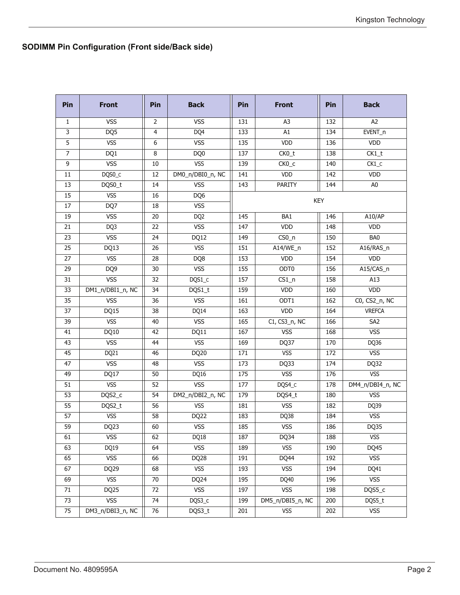## **SODIMM Pin Configuration (Front side/Back side)**

| Pin            | <b>Front</b>     | Pin              | <b>Back</b>      | Pin | <b>Front</b>      | Pin        | <b>Back</b>      |
|----------------|------------------|------------------|------------------|-----|-------------------|------------|------------------|
| 1              | <b>VSS</b>       | 2                | <b>VSS</b>       | 131 | A3                | 132        | A <sub>2</sub>   |
| 3              | DQ5              | 4                | DQ4              | 133 | A1                | 134        | EVENT_n          |
| 5              | <b>VSS</b>       | $\boldsymbol{6}$ | <b>VSS</b>       | 135 | VDD               | 136        | VDD              |
| $\overline{7}$ | DQ1              | 8                | DQ0              | 137 | CK0_t             | 138        | $CK1_t$          |
| 9              | <b>VSS</b>       | $10\,$           | <b>VSS</b>       | 139 | CK <sub>0_c</sub> | 140        | $CK1_C$          |
| 11             | DQS0_C           | 12               | DM0_n/DBI0_n, NC | 141 | VDD               | 142        | <b>VDD</b>       |
| 13             | DQS0_t           | 14               | <b>VSS</b>       | 143 | PARITY            | 144        | A <sub>0</sub>   |
| 15             | <b>VSS</b>       | 16               | DQ6              |     |                   | <b>KEY</b> |                  |
| 17             | DQ7              | 18               | <b>VSS</b>       |     |                   |            |                  |
| 19             | <b>VSS</b>       | 20               | DQ <sub>2</sub>  | 145 | BA1               | 146        | A10/AP           |
| 21             | DQ3              | 22               | <b>VSS</b>       | 147 | <b>VDD</b>        | 148        | VDD              |
| 23             | <b>VSS</b>       | 24               | DQ12             | 149 | $CSO_n$           | 150        | BA0              |
| 25             | DQ13             | 26               | <b>VSS</b>       | 151 | A14/WE_n          | 152        | A16/RAS_n        |
| 27             | <b>VSS</b>       | 28               | DQ8              | 153 | VDD               | 154        | <b>VDD</b>       |
| 29             | DQ <sub>9</sub>  | 30               | <b>VSS</b>       | 155 | ODT <sub>0</sub>  | 156        | A15/CAS_n        |
| 31             | <b>VSS</b>       | 32               | DQS1_c           | 157 | $CS1_n$           | 158        | A13              |
| 33             | DM1_n/DBI1_n, NC | 34               | DQS1_t           | 159 | <b>VDD</b>        | 160        | VDD              |
| 35             | <b>VSS</b>       | 36               | <b>VSS</b>       | 161 | ODT1              | 162        | C0, CS2_n, NC    |
| 37             | DQ15             | 38               | DQ14             | 163 | <b>VDD</b>        | 164        | <b>VREFCA</b>    |
| 39             | <b>VSS</b>       | 40               | <b>VSS</b>       | 165 | C1, CS3_n, NC     | 166        | SA <sub>2</sub>  |
| 41             | DQ10             | 42               | DQ11             | 167 | <b>VSS</b>        | 168        | <b>VSS</b>       |
| 43             | <b>VSS</b>       | 44               | <b>VSS</b>       | 169 | DQ37              | 170        | DQ36             |
| 45             | DQ21             | 46               | DQ20             | 171 | <b>VSS</b>        | 172        | <b>VSS</b>       |
| 47             | <b>VSS</b>       | 48               | <b>VSS</b>       | 173 | DQ33              | 174        | DQ32             |
| 49             | DQ17             | 50               | DQ16             | 175 | <b>VSS</b>        | 176        | <b>VSS</b>       |
| 51             | <b>VSS</b>       | 52               | <b>VSS</b>       | 177 | DQS4_c            | 178        | DM4_n/DBI4_n, NC |
| 53             | DQS2_c           | 54               | DM2_n/DBI2_n, NC | 179 | DQS4_t            | 180        | <b>VSS</b>       |
| 55             | DQS2_t           | 56               | <b>VSS</b>       | 181 | <b>VSS</b>        | 182        | DQ39             |
| 57             | <b>VSS</b>       | 58               | DQ22             | 183 | DQ38              | 184        | <b>VSS</b>       |
| 59             | DQ23             | 60               | <b>VSS</b>       | 185 | <b>VSS</b>        | 186        | DQ35             |
| 61             | VSS              | 62               | DQ18             | 187 | DQ34              | 188        | VSS              |
| 63             | DQ19             | 64               | <b>VSS</b>       | 189 | <b>VSS</b>        | 190        | DQ45             |
| 65             | <b>VSS</b>       | 66               | DQ28             | 191 | DQ44              | 192        | <b>VSS</b>       |
| 67             | DQ29             | 68               | <b>VSS</b>       | 193 | <b>VSS</b>        | 194        | DQ41             |
| 69             | <b>VSS</b>       | $70\,$           | DQ24             | 195 | DQ40              | 196        | <b>VSS</b>       |
| 71             | DQ25             | 72               | <b>VSS</b>       | 197 | <b>VSS</b>        | 198        | DQS5_c           |
| 73             | <b>VSS</b>       | 74               | DQS3_c           | 199 | DM5_n/DBI5_n, NC  | 200        | DQS5_t           |
| 75             | DM3_n/DBI3_n, NC | 76               | DQS3_t           | 201 | <b>VSS</b>        | 202        | <b>VSS</b>       |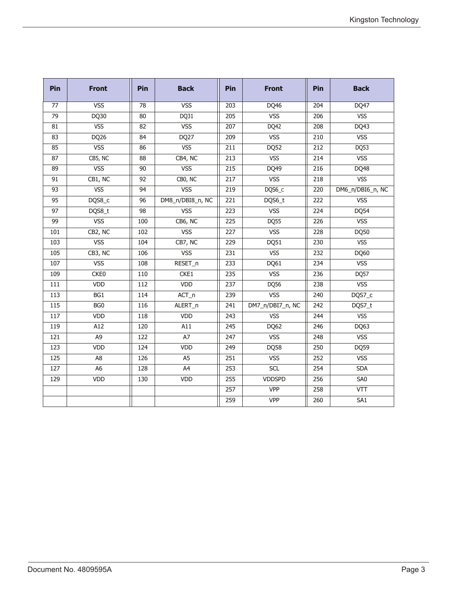| Pin              | <b>Front</b>     | Pin             | <b>Back</b>      | Pin | <b>Front</b>     | Pin              | <b>Back</b>      |
|------------------|------------------|-----------------|------------------|-----|------------------|------------------|------------------|
| 77               | <b>VSS</b>       | 78              | <b>VSS</b>       | 203 | DQ46             | 204              | DQ47             |
| 79               | DQ30             | 80              | DQ31             | 205 | <b>VSS</b>       | 206              | <b>VSS</b>       |
| 81               | <b>VSS</b>       | 82              | <b>VSS</b>       | 207 | DQ42             | 208              | DQ43             |
| 83               | DQ26             | 84              | DQ <sub>27</sub> | 209 | <b>VSS</b>       | 210              | <b>VSS</b>       |
| 85               | <b>VSS</b>       | 86              | <b>VSS</b>       | 211 | DQ52             | $\overline{212}$ | DQ53             |
| 87               | CB5, NC          | 88              | CB4, NC          | 213 | <b>VSS</b>       | 214              | <b>VSS</b>       |
| 89               | <b>VSS</b>       | 90              | <b>VSS</b>       | 215 | DQ49             | 216              | DQ48             |
| $\overline{91}$  | CB1, NC          | 92              | CBO, NC          | 217 | <b>VSS</b>       | 218              | <b>VSS</b>       |
| 93               | <b>VSS</b>       | 94              | <b>VSS</b>       | 219 | DQS6_C           | 220              | DM6_n/DBI6_n, NC |
| 95               | DQS8_c           | $\overline{96}$ | DM8_n/DBI8_n, NC | 221 | DQS6_t           | 222              | <b>VSS</b>       |
| 97               | DQS8_t           | $\overline{98}$ | <b>VSS</b>       | 223 | <b>VSS</b>       | 224              | DQ54             |
| 99               | <b>VSS</b>       | 100             | CB6, NC          | 225 | <b>DQ55</b>      | 226              | <b>VSS</b>       |
| 101              | CB2, NC          | 102             | <b>VSS</b>       | 227 | <b>VSS</b>       | 228              | DQ50             |
| 103              | <b>VSS</b>       | 104             | CB7, NC          | 229 | DQ51             | 230              | <b>VSS</b>       |
| 105              | CB3, NC          | 106             | <b>VSS</b>       | 231 | <b>VSS</b>       | 232              | DQ60             |
| 107              | <b>VSS</b>       | 108             | RESET_n          | 233 | DQ61             | 234              | <b>VSS</b>       |
| 109              | CKE <sub>0</sub> | 110             | CKE1             | 235 | <b>VSS</b>       | 236              | DQ57             |
| 111              | VDD              | 112             | VDD              | 237 | DQ56             | 238              | <b>VSS</b>       |
| 113              | BG1              | 114             | ACT_n            | 239 | <b>VSS</b>       | 240              | DQS7_c           |
| 115              | BG <sub>0</sub>  | 116             | ALERT_n          | 241 | DM7_n/DBI7_n, NC | 242              | DQS7_t           |
| $\overline{117}$ | VDD              | 118             | VDD              | 243 | <b>VSS</b>       | 244              | <b>VSS</b>       |
| 119              | A12              | 120             | A11              | 245 | DQ62             | 246              | DQ63             |
| $\overline{121}$ | A <sub>9</sub>   | 122             | A7               | 247 | <b>VSS</b>       | $\overline{248}$ | <b>VSS</b>       |
| 123              | VDD              | 124             | <b>VDD</b>       | 249 | DQ58             | 250              | DQ59             |
| 125              | A <sub>8</sub>   | 126             | A <sub>5</sub>   | 251 | <b>VSS</b>       | 252              | <b>VSS</b>       |
| 127              | A <sub>6</sub>   | 128             | A4               | 253 | <b>SCL</b>       | 254              | <b>SDA</b>       |
| 129              | VDD              | 130             | VDD              | 255 | <b>VDDSPD</b>    | 256              | SA <sub>0</sub>  |
|                  |                  |                 |                  | 257 | <b>VPP</b>       | 258              | $\sqrt{11}$      |
|                  |                  |                 |                  | 259 | <b>VPP</b>       | 260              | $\overline{SA1}$ |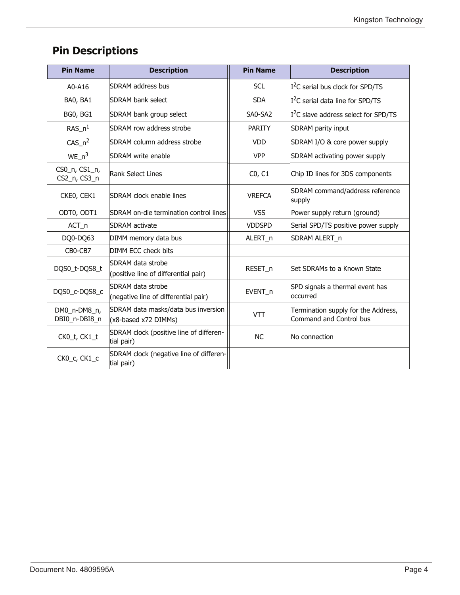| <b>Pin Name</b>               | <b>Description</b>                                          | <b>Pin Name</b> | <b>Description</b>                                             |
|-------------------------------|-------------------------------------------------------------|-----------------|----------------------------------------------------------------|
| A0-A16                        | <b>SDRAM</b> address bus                                    | <b>SCL</b>      | $I2C$ serial bus clock for SPD/TS                              |
| BA0, BA1                      | <b>SDRAM bank select</b>                                    | <b>SDA</b>      | $I2C$ serial data line for SPD/TS                              |
| BG0, BG1                      | SDRAM bank group select                                     | SA0-SA2         | $I2C$ slave address select for SPD/TS                          |
| RAS $n1$                      | SDRAM row address strobe                                    | <b>PARITY</b>   | SDRAM parity input                                             |
| $CAS_n^2$                     | <b>ISDRAM column address strobe</b>                         | <b>VDD</b>      | SDRAM I/O & core power supply                                  |
| $WE_n^3$                      | <b>SDRAM</b> write enable                                   | <b>VPP</b>      | SDRAM activating power supply                                  |
| CS0_n, CS1_n,<br>CS2_n, CS3_n | Rank Select Lines                                           | CO, C1          | Chip ID lines for 3DS components                               |
| CKEO, CEK1                    | ISDRAM clock enable lines                                   | <b>VREFCA</b>   | SDRAM command/address reference<br>supply                      |
| ODT0, ODT1                    | SDRAM on-die termination control lines                      | <b>VSS</b>      | Power supply return (ground)                                   |
| ACT_n                         | <b>SDRAM</b> activate                                       | <b>VDDSPD</b>   | Serial SPD/TS positive power supply                            |
| DQ0-DQ63                      | DIMM memory data bus                                        | ALERT_n         | SDRAM ALERT_n                                                  |
| CB0-CB7                       | <b>DIMM ECC check bits</b>                                  |                 |                                                                |
| DQS0_t-DQS8_t                 | SDRAM data strobe<br>(positive line of differential pair)   | RESET_n         | Set SDRAMs to a Known State                                    |
| DQS0_c-DQS8_c                 | SDRAM data strobe<br>(negative line of differential pair)   | EVENT_n         | SPD signals a thermal event has<br>occurred                    |
| DM0_n-DM8_n,<br>DBI0_n-DBI8_n | SDRAM data masks/data bus inversion<br>(x8-based x72 DIMMs) | <b>VTT</b>      | Termination supply for the Address,<br>Command and Control bus |
| CK0_t, CK1_t                  | SDRAM clock (positive line of differen-<br>tial pair)       | <b>NC</b>       | No connection                                                  |
| CKO_c, CK1_c                  | SDRAM clock (negative line of differen-<br>tial pair)       |                 |                                                                |

## **Pin Descriptions**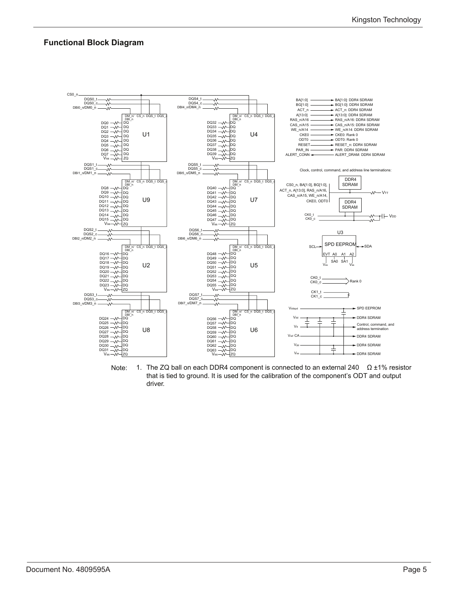#### **Functional Block Diagram**



Note: 1. The ZQ ball on each DDR4 component is connected to an external 240  $\Omega \pm 1\%$  resistor that is tied to ground. It is used for the calibration of the component's ODT and output driver.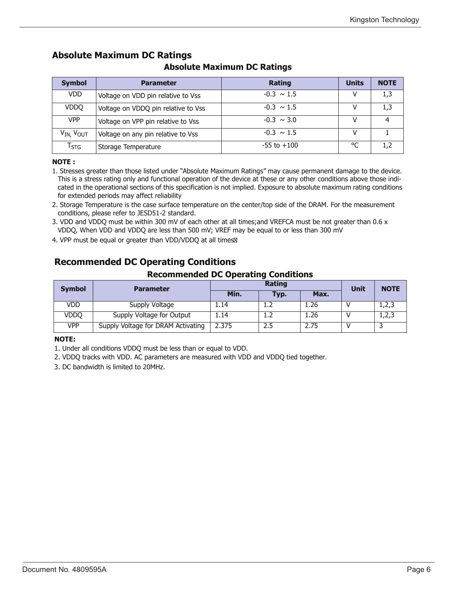## **Symbol Parameter Rating Units NOTE** VDD  $\vert$  Voltage on VDD pin relative to Vss  $\vert$   $\vert$  -0.3  $\sim$  1.5  $\vert$  V  $\vert$  1,3 VDDQ Voltage on VDDQ pin relative to Vss -0.3 ~ 1.5 V 1,3 VPP Voltage on VPP pin relative to Vss  $-0.3 \sim 3.0$  V 4  $V_{IN}$ ,  $V_{OUT}$  Voltage on any pin relative to Vss  $V_{IN}$ ,  $V_{OUT}$   $V$   $V$  1  $T_{STG}$  Storage Temperature  $-55$  to +100  $\degree$ C 1,2

### **Absolute Maximum DC Ratings**

#### **Absolute Maximum DC Ratings**

#### **NOTE :**

1. Stresses greater than those listed under "Absolute Maximum Ratings" may cause permanent damage to the device. This is a stress rating only and functional operation of the device at these or any other conditions above those indicated in the operational sections of this specification is not implied. Exposure to absolute maximum rating conditions for extended periods may affect reliability

- 2. Storage Temperature is the case surface temperature on the center/top side of the DRAM. For the measurement conditions, please refer to JESD51-2 standard.
- 3. VDD and VDDQ must be within 300 mV of each other at all times;and VREFCA must be not greater than 0.6 x VDDQ, When VDD and VDDQ are less than 500 mV; VREF may be equal to or less than 300 mV
- 4. VPP must be equal or greater than VDD/VDDO at all times<sup>®</sup>

### **Recommended DC Operating Conditions**

#### **Recommended DC Operating Conditions**

| <b>Symbol</b> | <b>Parameter</b>                   |       | Rating |      |      |             |  |  |  |
|---------------|------------------------------------|-------|--------|------|------|-------------|--|--|--|
|               |                                    | Min.  | Typ.   | Max. | Unit | <b>NOTE</b> |  |  |  |
| VDD           | Supply Voltage                     | .14   | 1.Z    | 1.26 |      | 1,2,3       |  |  |  |
| VDDQ          | Supply Voltage for Output          | . 14  |        | 1.26 |      | 1,2,3       |  |  |  |
| <b>VPP</b>    | Supply Voltage for DRAM Activating | 2.375 | 2.5    | 2.75 |      |             |  |  |  |

#### **NOTE:**

1. Under all conditions VDDQ must be less than or equal to VDD.

2. VDDQ tracks with VDD. AC parameters are measured with VDD and VDDQ tied together.

3. DC bandwidth is limited to 20MHz.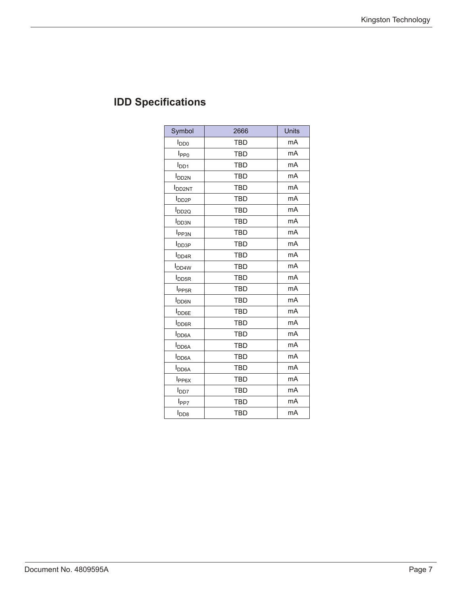| Symbol                   | 2666       | Units |
|--------------------------|------------|-------|
| <b>I</b> <sub>DD0</sub>  | <b>TBD</b> | mA    |
| I <sub>PP0</sub>         | <b>TBD</b> | mA    |
| I <sub>DD1</sub>         | <b>TBD</b> | mA    |
| <b>I</b> DD2N            | <b>TBD</b> | mA    |
| <b>I</b> DD2NT           | <b>TBD</b> | mA    |
| <b>l</b> <sub>DD2P</sub> | <b>TBD</b> | mA    |
| <b>l</b> <sub>DD2Q</sub> | <b>TBD</b> | mA    |
| <b>I</b> <sub>DD3N</sub> | <b>TBD</b> | mA    |
| <b>I</b> <sub>PP3N</sub> | <b>TBD</b> | mA    |
| <b>I</b> <sub>DD3P</sub> | <b>TBD</b> | mA    |
| I <sub>DD4R</sub>        | <b>TBD</b> | mA    |
| <b>I</b> <sub>DD4W</sub> | <b>TBD</b> | mA    |
| <b>I</b> <sub>DD5R</sub> | <b>TBD</b> | mA    |
| I <sub>PP5R</sub>        | <b>TBD</b> | mA    |
| <b>I</b> DD6N            | <b>TBD</b> | mA    |
| <b>I</b> <sub>DD6E</sub> | <b>TBD</b> | mA    |
| <b>I</b> <sub>DD6R</sub> | <b>TBD</b> | mA    |
| <b>I</b> DD6A            | <b>TBD</b> | mA    |
| <b>I</b> <sub>DD6A</sub> | <b>TBD</b> | mA    |
| <b>I</b> <sub>DD6A</sub> | <b>TBD</b> | mA    |
| <b>I</b> <sub>DD6A</sub> | <b>TBD</b> | mA    |
| I <sub>PP6X</sub>        | <b>TBD</b> | mA    |
| I <sub>DD7</sub>         | <b>TBD</b> | mA    |
| l <sub>PP7</sub>         | <b>TBD</b> | mA    |
| $I_{\text{DD8}}$         | <b>TBD</b> | mA    |

## **IDD Specifications**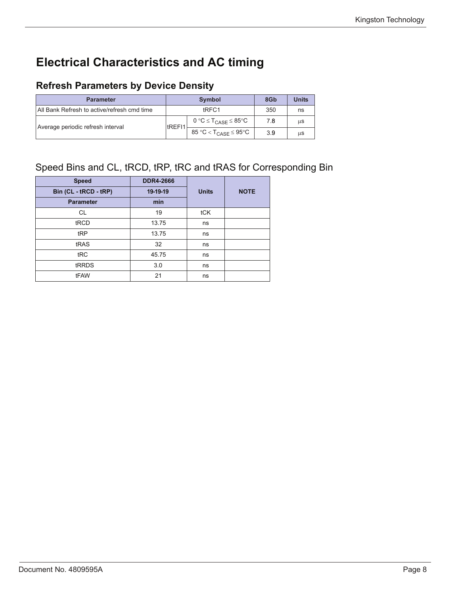## **Electrical Characteristics and AC timing**

### **Refresh Parameters by Device Density**

| <b>Parameter</b>                            |                | <b>Symbol</b>                                    | 8G <sub>b</sub> | <b>Units</b> |
|---------------------------------------------|----------------|--------------------------------------------------|-----------------|--------------|
| All Bank Refresh to active/refresh cmd time |                | tRFC1                                            | 350             | ns           |
| Average periodic refresh interval           | <b>ItREFI1</b> | $0 °C \leq T_{CASE} \leq 85 °C$                  | 7.8             | us           |
|                                             |                | 85 °C < $\mathsf{T}_{\mathsf{CASE}}$ $\leq$ 95°C | 3.9             | us           |

## Speed Bins and CL, tRCD, tRP, tRC and tRAS for Corresponding Bin

| <b>Speed</b>          | <b>DDR4-2666</b> |              |             |
|-----------------------|------------------|--------------|-------------|
| Bin (CL - tRCD - tRP) | 19-19-19         | <b>Units</b> | <b>NOTE</b> |
| <b>Parameter</b>      | min              |              |             |
| CL                    | 19               | tCK          |             |
| tRCD                  | 13.75            | ns           |             |
| tRP                   | 13.75            | ns           |             |
| tRAS                  | 32               | ns           |             |
| tRC                   | 45.75            | ns           |             |
| tRRDS                 | 3.0              | ns           |             |
| tFAW                  | 21               | ns           |             |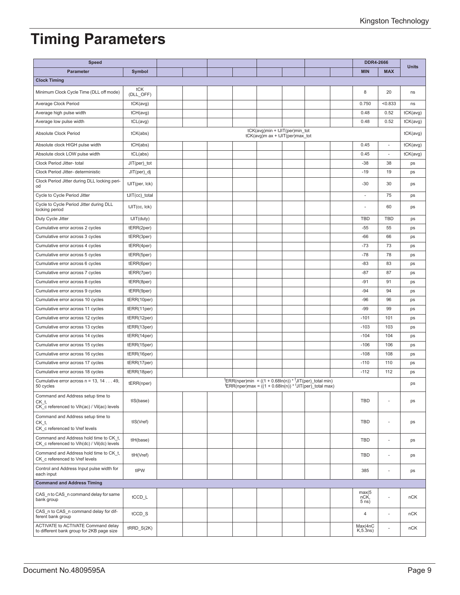# **Timing Parameters**

| <b>Speed</b>                                                                                 |                  |  |  |                                                                                     |                                                                                                                                               | <b>DDR4-2666</b>         |            | <b>Units</b> |
|----------------------------------------------------------------------------------------------|------------------|--|--|-------------------------------------------------------------------------------------|-----------------------------------------------------------------------------------------------------------------------------------------------|--------------------------|------------|--------------|
| <b>Parameter</b>                                                                             | Symbol           |  |  |                                                                                     |                                                                                                                                               | <b>MIN</b>               | <b>MAX</b> |              |
| <b>Clock Timing</b>                                                                          |                  |  |  |                                                                                     |                                                                                                                                               |                          |            |              |
| Minimum Clock Cycle Time (DLL off mode)                                                      | tCK<br>(DLL_OFF) |  |  |                                                                                     |                                                                                                                                               | 8                        | 20         | ns           |
| Average Clock Period                                                                         | tCK(avg)         |  |  |                                                                                     |                                                                                                                                               | 0.750                    | < 0.833    | ns           |
| Average high pulse width                                                                     | tCH(avg)         |  |  |                                                                                     |                                                                                                                                               | 0.48                     | 0.52       | tCK(avg)     |
| Average low pulse width                                                                      | tCL(avg)         |  |  |                                                                                     |                                                                                                                                               | 0.48                     | 0.52       | tCK(avg)     |
| Absolute Clock Period                                                                        | tCK(abs)         |  |  | tCK(avg)min + tJIT(per)min_tot<br>$tCK(\text{avg})m$ ax + $tJIT(\text{per})max$ tot |                                                                                                                                               |                          |            | tCK(avg)     |
| Absolute clock HIGH pulse width                                                              | tCH(abs)         |  |  |                                                                                     |                                                                                                                                               | 0.45                     | ä,         | tCK(avg)     |
| Absolute clock LOW pulse width                                                               | tCL(abs)         |  |  |                                                                                     |                                                                                                                                               | 0.45                     |            | tCK(avg)     |
| Clock Period Jitter- total                                                                   | $JIT(per)$ tot   |  |  |                                                                                     |                                                                                                                                               | $-38$                    | 38         | ps           |
| Clock Period Jitter- deterministic                                                           | JIT(per)_dj      |  |  |                                                                                     |                                                                                                                                               | $-19$                    | 19         | ps           |
| Clock Period Jitter during DLL locking peri-<br>od                                           | tJIT(per, lck)   |  |  |                                                                                     |                                                                                                                                               | $-30$                    | 30         | ps           |
| Cycle to Cycle Period Jitter                                                                 | tJIT(cc)_total   |  |  |                                                                                     |                                                                                                                                               | ÷,                       | 75         | ps           |
| Cycle to Cycle Period Jitter during DLL<br>locking period                                    | tJIT(cc, lck)    |  |  |                                                                                     |                                                                                                                                               | Ĭ.                       | 60         | ps           |
| Duty Cycle Jitter                                                                            | tJIT(duty)       |  |  |                                                                                     |                                                                                                                                               | <b>TBD</b>               | <b>TBD</b> | ps           |
| Cumulative error across 2 cycles                                                             | tERR(2per)       |  |  |                                                                                     |                                                                                                                                               | $-55$                    | 55         | ps           |
| Cumulative error across 3 cycles                                                             | tERR(3per)       |  |  |                                                                                     |                                                                                                                                               | $-66$                    | 66         | ps           |
| Cumulative error across 4 cycles                                                             | tERR(4per)       |  |  |                                                                                     |                                                                                                                                               | $-73$                    | 73         | ps           |
| Cumulative error across 5 cycles                                                             | tERR(5per)       |  |  |                                                                                     |                                                                                                                                               | $-78$                    | 78         | ps           |
| Cumulative error across 6 cycles                                                             | tERR(6per)       |  |  |                                                                                     |                                                                                                                                               | $-83$                    | 83         | ps           |
| Cumulative error across 7 cycles                                                             | tERR(7per)       |  |  |                                                                                     |                                                                                                                                               | -87                      | 87         | ps           |
| Cumulative error across 8 cycles                                                             | tERR(8per)       |  |  |                                                                                     |                                                                                                                                               | $-91$                    | 91         | ps           |
| Cumulative error across 9 cycles                                                             | tERR(9per)       |  |  |                                                                                     |                                                                                                                                               | $-94$                    | 94         | ps           |
| Cumulative error across 10 cycles                                                            | tERR(10per)      |  |  |                                                                                     |                                                                                                                                               | $-96$                    | 96         | ps           |
| Cumulative error across 11 cycles                                                            | tERR(11per)      |  |  |                                                                                     |                                                                                                                                               | $-99$                    | 99         | ps           |
| Cumulative error across 12 cycles                                                            | tERR(12per)      |  |  |                                                                                     |                                                                                                                                               | $-101$                   | 101        | ps           |
| Cumulative error across 13 cycles                                                            | tERR(13per)      |  |  |                                                                                     |                                                                                                                                               | $-103$                   | 103        | ps           |
| Cumulative error across 14 cycles                                                            | tERR(14per)      |  |  |                                                                                     |                                                                                                                                               | $-104$                   | 104        | ps           |
| Cumulative error across 15 cycles                                                            | tERR(15per)      |  |  |                                                                                     |                                                                                                                                               | $-106$                   | 106        | ps           |
| Cumulative error across 16 cycles                                                            | tERR(16per)      |  |  |                                                                                     |                                                                                                                                               | $-108$                   | 108        | ps           |
| Cumulative error across 17 cycles                                                            | tERR(17per)      |  |  |                                                                                     |                                                                                                                                               | $-110$                   | 110        | ps           |
| Cumulative error across 18 cycles                                                            | tERR(18per)      |  |  |                                                                                     |                                                                                                                                               | $-112$                   | 112        | ps           |
| Cumulative error across $n = 13, 1449$ ,<br>50 cycles                                        | tERR(nper)       |  |  |                                                                                     | <sup>t</sup> ERR(nper)min = $((1 + 0.68\ln(n)) *$ <sup>t</sup> JIT(per)_total min)<br>$ERR(nper)max = ((1 + 0.68ln(n)) * UIT(per)$ total max) |                          |            | ps           |
| Command and Address setup time to<br>$CK_t$ ,<br>CK c referenced to Vih(ac) / Vil(ac) levels | tIS(base)        |  |  |                                                                                     |                                                                                                                                               | <b>TBD</b>               | ä,         | ps           |
| Command and Address setup time to<br>CK t,<br>CK_c referenced to Vref levels                 | tIS(Vref)        |  |  |                                                                                     |                                                                                                                                               | <b>TBD</b>               | ÷,         | ps           |
| Command and Address hold time to CK t,<br>CK c referenced to Vih(dc) / Vil(dc) levels        | tlH(base)        |  |  |                                                                                     |                                                                                                                                               | TBD                      | ÷,         | ps           |
| Command and Address hold time to CK t,<br>CK c referenced to Vref levels                     | tIH(Vref)        |  |  |                                                                                     |                                                                                                                                               | TBD                      | ä,         | ps           |
| Control and Address Input pulse width for<br>each input                                      | tIPW             |  |  |                                                                                     |                                                                                                                                               | 385                      |            | ps           |
| <b>Command and Address Timing</b>                                                            |                  |  |  |                                                                                     |                                                                                                                                               |                          |            |              |
| CAS_n to CAS_n command delay for same<br>bank group                                          | tCCD_L           |  |  |                                                                                     |                                                                                                                                               | max(5<br>nCK,<br>$5$ ns) |            | nCK          |
| CAS_n to CAS_n command delay for dif-<br>ferent bank group                                   | tCCD_S           |  |  |                                                                                     |                                                                                                                                               | $\overline{4}$           | ä,         | nCK          |
| ACTIVATE to ACTIVATE Command delay<br>to different bank group for 2KB page size              | $tRRD_S(2K)$     |  |  |                                                                                     |                                                                                                                                               | Max(4nC<br>K, 5.3ns)     |            | nCK          |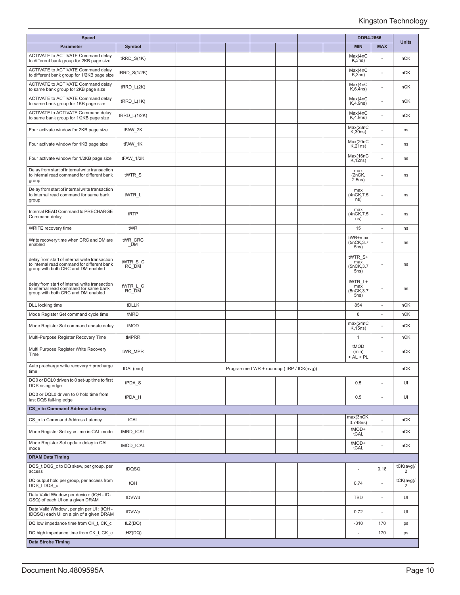| <b>Speed</b>                                                                                                                        |                   |  |  |                                          |  | <b>DDR4-2666</b>                      |                          |                             |
|-------------------------------------------------------------------------------------------------------------------------------------|-------------------|--|--|------------------------------------------|--|---------------------------------------|--------------------------|-----------------------------|
| Parameter                                                                                                                           | Symbol            |  |  |                                          |  | <b>MIN</b>                            | <b>MAX</b>               | <b>Units</b>                |
| <b>ACTIVATE to ACTIVATE Command delay</b><br>to different bank group for 2KB page size                                              | $t$ RRD $S(1K)$   |  |  |                                          |  | Max(4nC<br>K,3ns)                     |                          | nCK                         |
| <b>ACTIVATE to ACTIVATE Command delay</b><br>to different bank group for 1/2KB page size                                            | tRRD_S(1/2K)      |  |  |                                          |  | Max(4nC<br>K,3ns)                     |                          | nCK                         |
| ACTIVATE to ACTIVATE Command delay<br>to same bank group for 2KB page size                                                          | $t$ RRD_L(2K)     |  |  |                                          |  | Max(4nC)<br>$K, 6.4$ ns)              |                          | nCK                         |
| ACTIVATE to ACTIVATE Command delay<br>to same bank group for 1KB page size                                                          | $tRRD_L(1K)$      |  |  |                                          |  | Max(4nC<br>K, 4.9ns)                  | ä,                       | nCK                         |
| <b>ACTIVATE to ACTIVATE Command delay</b><br>to same bank group for 1/2KB page size                                                 | tRRD_L(1/2K)      |  |  |                                          |  | Max(4nC<br>K, 4.9ns)                  | ä,                       | nCK                         |
| Four activate window for 2KB page size                                                                                              | tFAW_2K           |  |  |                                          |  | Max(28nC<br>K,30ns)                   | ä,                       | ns                          |
| Four activate window for 1KB page size                                                                                              | tFAW_1K           |  |  |                                          |  | Max(20nC<br>$K, 2$ 1ns)               | ä,                       | ns                          |
| Four activate window for 1/2KB page size                                                                                            | tFAW_1/2K         |  |  |                                          |  | Max(16nC<br>K, 12ns)                  |                          | ns                          |
| Delay from start of internal write transaction<br>to internal read command for different bank<br>group                              | tWTR S            |  |  |                                          |  | max<br>(2nCK,<br>2.5ns)               | ٠                        | ns                          |
| Delay from start of internal write transaction<br>to internal read command for same bank<br>group                                   | tWTR L            |  |  |                                          |  | max<br>(4nCK, 7.5)<br>ns)             | ÷.                       | ns                          |
| Internal READ Command to PRECHARGE<br>Command delay                                                                                 | tRTP              |  |  |                                          |  | max<br>(4nCK, 7.5)<br>ns)             |                          | ns                          |
| WRITE recovery time                                                                                                                 | tWR               |  |  |                                          |  | 15                                    | ٠                        | ns                          |
| Write recovery time when CRC and DM are<br>enabled                                                                                  | tWR CRC<br>$\_DM$ |  |  |                                          |  | tWR+max<br>(5nCK, 3.7)<br>5ns)        |                          | ns                          |
| delay from start of internal write transaction<br>to internal read command for different bank<br>group with both CRC and DM enabled | tWTR_S_C<br>RC DM |  |  |                                          |  | tWTR S+<br>max<br>(5nCK, 3.7<br>5ns)  | ä,                       | ns                          |
| delay from start of internal write transaction<br>to internal read command for same bank<br>group with both CRC and DM enabled      | tWTR L C<br>RC DM |  |  |                                          |  | tWTR L+<br>max<br>(5nCK, 3.7)<br>5ns) |                          | ns                          |
| DLL locking time                                                                                                                    | tDLLK             |  |  |                                          |  | 854                                   | ä,                       | nCK                         |
| Mode Register Set command cycle time                                                                                                | tMRD              |  |  |                                          |  | 8                                     | ÷.                       | nCK                         |
| Mode Register Set command update delay                                                                                              | tMOD              |  |  |                                          |  | max(24nC)<br>K, 15ns                  |                          | nCK                         |
| Multi-Purpose Register Recovery Time                                                                                                | tMPRR             |  |  |                                          |  | $\mathbf{1}$                          | $\overline{\phantom{a}}$ | nCK                         |
| Multi Purpose Register Write Recovery<br>Time                                                                                       | tWR_MPR           |  |  |                                          |  | tMOD<br>(min)<br>+ AL + PL            | ۰                        | nCK                         |
| Auto precharge write recovery + precharge<br>time                                                                                   | tDAL(min)         |  |  | Programmed WR + roundup (tRP / tCK(avg)) |  |                                       |                          | nCK                         |
| DQ0 or DQL0 driven to 0 set-up time to first<br>DQS rising edge                                                                     | tPDA S            |  |  |                                          |  | 0.5                                   | ä,                       | UI                          |
| DQ0 or DQL0 driven to 0 hold time from<br>last DQS fall-ing edge                                                                    | tPDA_H            |  |  |                                          |  | 0.5                                   | ä,                       | UI                          |
| <b>CS_n to Command Address Latency</b>                                                                                              |                   |  |  |                                          |  |                                       |                          |                             |
| CS n to Command Address Latency                                                                                                     | tCAL              |  |  |                                          |  | max(3nCK,<br>3.748ns)                 |                          | nCK                         |
| Mode Register Set cyce time in CAL mode                                                                                             | tMRD_tCAL         |  |  |                                          |  | tMOD+<br>tCAL                         | ÷,                       | nCK                         |
| Mode Register Set update delay in CAL<br>mode                                                                                       | tMOD tCAL         |  |  |                                          |  | tMOD+<br>tCAL                         | L,                       | nCK                         |
| <b>DRAM Data Timing</b>                                                                                                             |                   |  |  |                                          |  |                                       |                          |                             |
| DQS t, DQS c to DQ skew, per group, per<br>access                                                                                   | tDQSQ             |  |  |                                          |  | $\overline{\phantom{a}}$              | 0.18                     | tCK(avg)/<br>2              |
| DQ output hold per group, per access from<br>DQS t, DQS c                                                                           | tQH               |  |  |                                          |  | 0.74                                  | ä,                       | tCK(avg)/<br>$\overline{2}$ |
| Data Valid Window per device: (tQH - tD-<br>QSQ) of each UI on a given DRAM                                                         | tDVWd             |  |  |                                          |  | TBD                                   | ÷,                       | UI                          |
| Data Valid Window, per pin per UI : (tQH -<br>tDQSQ) each UI on a pin of a given DRAM                                               | tDVWp             |  |  |                                          |  | 0.72                                  | ÷,                       | UI                          |
| DQ low impedance time from CK t, CK c                                                                                               | tLZ(DQ)           |  |  |                                          |  | $-310$                                | 170                      | ps                          |
| DQ high impedance time from CK t, CK c                                                                                              | tHZ(DQ)           |  |  |                                          |  | ×                                     | 170                      | ps                          |
| <b>Data Strobe Timing</b>                                                                                                           |                   |  |  |                                          |  |                                       |                          |                             |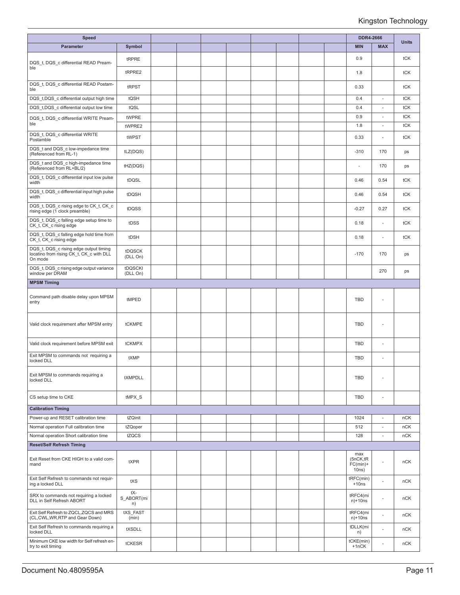| <b>Speed</b>                                                                                  |                         |  |  |  |  | <b>DDR4-2666</b>                        |                          |              |
|-----------------------------------------------------------------------------------------------|-------------------------|--|--|--|--|-----------------------------------------|--------------------------|--------------|
| Parameter                                                                                     | Symbol                  |  |  |  |  | <b>MIN</b>                              | <b>MAX</b>               | <b>Units</b> |
| DQS t, DQS c differential READ Pream-                                                         | tRPRE                   |  |  |  |  | 0.9                                     |                          | tCK          |
| ble                                                                                           | tRPRE2                  |  |  |  |  | 1.8                                     |                          | tCK          |
| DQS t, DQS_c differential READ Postam-<br>ble                                                 | tRPST                   |  |  |  |  | 0.33                                    |                          | tCK          |
| DQS t, DQS c differential output high time                                                    | tQSH                    |  |  |  |  | 0.4                                     | $\overline{\phantom{a}}$ | tCK          |
| DQS t,DQS c differential output low time                                                      | tQSL                    |  |  |  |  | 0.4                                     | $\omega$                 | tCK          |
| DQS t, DQS c differential WRITE Pream-                                                        | tWPRE                   |  |  |  |  | 0.9                                     | $\overline{\phantom{a}}$ | tCK          |
| ble                                                                                           | tWPRE2                  |  |  |  |  | 1.8                                     | ÷.                       | tCK          |
| DQS t, DQS c differential WRITE<br>Postamble                                                  | tWPST                   |  |  |  |  | 0.33                                    |                          | tCK          |
| DQS t and DQS c low-impedance time<br>(Referenced from RL-1)                                  | tLZ(DQS)                |  |  |  |  | $-310$                                  | 170                      | ps           |
| DQS_t and DQS_c high-impedance time<br>(Referenced from RL+BL/2)                              | tHZ(DQS)                |  |  |  |  | ×.                                      | 170                      | ps           |
| DQS t, DQS c differential input low pulse<br>width                                            | tDQSL                   |  |  |  |  | 0.46                                    | 0.54                     | tCK          |
| DQS t, DQS c differential input high pulse<br>width                                           | tDQSH                   |  |  |  |  | 0.46                                    | 0.54                     | tCK          |
| DQS t, DQS c rising edge to CK t, CK c<br>rising edge (1 clock preamble)                      | tDQSS                   |  |  |  |  | $-0.27$                                 | 0.27                     | tCK          |
| DQS t, DQS c falling edge setup time to<br>CK_t, CK_c rising edge                             | tDSS                    |  |  |  |  | 0.18                                    |                          | tCK          |
| DQS_t, DQS_c falling edge hold time from<br>CK t, CK c rising edge                            | tDSH                    |  |  |  |  | 0.18                                    | $\overline{\phantom{a}}$ | tCK          |
| DQS_t, DQS_c rising edge output timing<br>locatino from rising CK t, CK c with DLL<br>On mode | tDQSCK<br>(DLL On)      |  |  |  |  | $-170$                                  | 170                      | ps           |
| DQS t, DQS c rising edge output variance<br>window per DRAM                                   | tDQSCKI<br>(DLL On)     |  |  |  |  |                                         | 270                      | ps           |
| <b>MPSM Timing</b>                                                                            |                         |  |  |  |  |                                         |                          |              |
| Command path disable delay upon MPSM<br>entry                                                 | tMPED                   |  |  |  |  | <b>TBD</b>                              |                          |              |
| Valid clock requirement after MPSM entry                                                      | tCKMPE                  |  |  |  |  | <b>TBD</b>                              |                          |              |
| Valid clock requirement before MPSM exit                                                      | tCKMPX                  |  |  |  |  | TBD                                     |                          |              |
| Exit MPSM to commands not requiring a<br>locked DLL                                           | tXMP                    |  |  |  |  | TBD                                     |                          |              |
| Exit MPSM to commands requiring a<br>locked DLL                                               | tXMPDLL                 |  |  |  |  | TBD                                     |                          |              |
| CS setup time to CKE                                                                          | tMPX_S                  |  |  |  |  | <b>TBD</b>                              | ÷,                       |              |
| <b>Calibration Timing</b>                                                                     |                         |  |  |  |  |                                         |                          |              |
| Power-up and RESET calibration time                                                           | tZQinit                 |  |  |  |  | 1024                                    |                          | nCK          |
| Normal operation Full calibration time                                                        | tZQoper                 |  |  |  |  | 512                                     | $\overline{\phantom{a}}$ | nCK          |
| Normal operation Short calibration time                                                       | tZQCS                   |  |  |  |  | 128                                     | ä,                       | nCK          |
| <b>Reset/Self Refresh Timing</b>                                                              |                         |  |  |  |  |                                         |                          |              |
| Exit Reset from CKE HIGH to a valid com-<br>mand                                              | tXPR                    |  |  |  |  | max<br>(5nCK,tR)<br>$FC(min)+$<br>10ns) |                          | nCK          |
| Exit Self Refresh to commands not requir-<br>ing a locked DLL                                 | tXS                     |  |  |  |  | tRFC(min)<br>$+10ns$                    | $\sim$                   | nCK          |
| SRX to commands not requiring a locked<br>DLL in Self Refresh ABORT                           | tX-<br>S_ABORT(mi<br>n) |  |  |  |  | tRFC4(mi<br>$n)+10ns$                   | ÷                        | nCK          |
| Exit Self Refresh to ZQCL, ZQCS and MRS<br>(CL,CWL,WR,RTP and Gear Down)                      | tXS FAST<br>(min)       |  |  |  |  | tRFC4(mi<br>$n)+10ns$                   |                          | nCK          |
| Exit Self Refresh to commands requiring a<br>locked DLL                                       | tXSDLL                  |  |  |  |  | tDLLK(mi<br>n)                          |                          | nCK          |
| Minimum CKE low width for Self refresh en-<br>try to exit timing                              | tCKESR                  |  |  |  |  | tCKE(min)<br>$+1nCK$                    |                          | nCK          |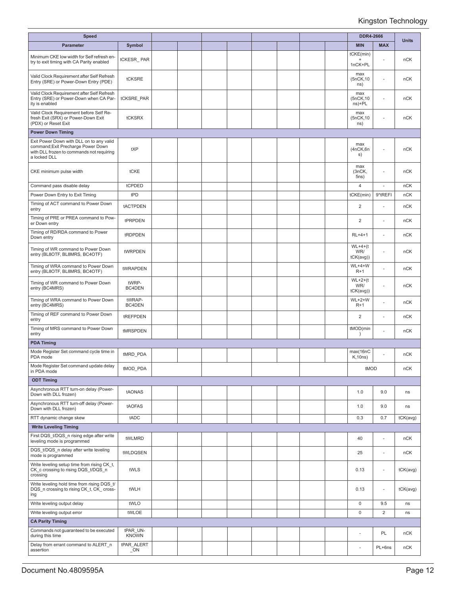| <b>Speed</b>                                                                                                                                |                          |  |  |  |  | <b>DDR4-2666</b>                  |                          |              |
|---------------------------------------------------------------------------------------------------------------------------------------------|--------------------------|--|--|--|--|-----------------------------------|--------------------------|--------------|
| Parameter                                                                                                                                   | <b>Symbol</b>            |  |  |  |  | <b>MIN</b>                        | <b>MAX</b>               | <b>Units</b> |
| Minimum CKE low width for Self refresh en-<br>try to exit timing with CA Parity enabled                                                     | tCKESR_PAR               |  |  |  |  | tCKE(min)<br>$\ddot{}$<br>1nCK+PL |                          | nCK          |
| Valid Clock Requirement after Self Refresh<br>Entry (SRE) or Power-Down Entry (PDE)                                                         | tCKSRE                   |  |  |  |  | max<br>(5nCK, 10<br>ns)           | ä,                       | nCK          |
| Valid Clock Requirement after Self Refresh<br>Entry (SRE) or Power-Down when CA Par-<br>ity is enabled                                      | tCKSRE_PAR               |  |  |  |  | max<br>(5nCK, 10<br>ns)+PL        | ÷.                       | nCK          |
| Valid Clock Requirement before Self Re-<br>fresh Exit (SRX) or Power-Down Exit<br>(PDX) or Reset Exit                                       | tCKSRX                   |  |  |  |  | max<br>(5nCK, 10<br>ns)           | ÷,                       | nCK          |
| <b>Power Down Timing</b>                                                                                                                    |                          |  |  |  |  |                                   |                          |              |
| Exit Power Down with DLL on to any valid<br>command; Exit Precharge Power Down<br>with DLL frozen to commands not requiring<br>a locked DLL | tXP                      |  |  |  |  | max<br>(4nCK,6n<br>s)             | ٠                        | nCK          |
| CKE minimum pulse width                                                                                                                     | tCKE                     |  |  |  |  | max<br>(3nCK,<br>5ns)             | ä,                       | nCK          |
| Command pass disable delay                                                                                                                  | tCPDED                   |  |  |  |  | $\overline{4}$                    |                          | nCK          |
| Power Down Entry to Exit Timing                                                                                                             | tPD                      |  |  |  |  | tCKE(min)                         | 9*tREFI                  | nCK          |
| Timing of ACT command to Power Down<br>entry                                                                                                | tACTPDEN                 |  |  |  |  | 2                                 | J.                       | nCK          |
| Timing of PRE or PREA command to Pow-<br>er Down entry                                                                                      | tPRPDEN                  |  |  |  |  | 2                                 | ä,                       | nCK          |
| Timing of RD/RDA command to Power<br>Down entry                                                                                             | tRDPDEN                  |  |  |  |  | $RL+4+1$                          | ÷.                       | nCK          |
| Timing of WR command to Power Down<br>entry (BL8OTF, BL8MRS, BC4OTF)                                                                        | tWRPDEN                  |  |  |  |  | $WL+4+(t)$<br>WR/<br>tCK(avg))    | ÷,                       | nCK          |
| Timing of WRA command to Power Down<br>entry (BL8OTF, BL8MRS, BC4OTF)                                                                       | tWRAPDEN                 |  |  |  |  | $WL+4+W$<br>$R+1$                 | ä,                       | nCK          |
| Timing of WR command to Power Down<br>entry (BC4MRS)                                                                                        | tWRP-<br>BC4DEN          |  |  |  |  | $WL+2+(t)$<br>WR/<br>tCK(avg))    | $\overline{\phantom{a}}$ | nCK          |
| Timing of WRA command to Power Down<br>entry (BC4MRS)                                                                                       | tWRAP-<br>BC4DEN         |  |  |  |  | $WL+2+W$<br>$R+1$                 | ÷,                       | nCK          |
| Timing of REF command to Power Down<br>entry                                                                                                | tREFPDEN                 |  |  |  |  | $\overline{c}$                    | ä,                       | nCK          |
| Timing of MRS command to Power Down<br>entry                                                                                                | tMRSPDEN                 |  |  |  |  | tMOD(min<br>$\lambda$             | J.                       | nCK          |
| <b>PDA Timing</b>                                                                                                                           |                          |  |  |  |  |                                   |                          |              |
| Mode Register Set command cycle time in<br>PDA mode                                                                                         | tMRD PDA                 |  |  |  |  | max(16nC<br>K, 10ns)              |                          | nCK          |
| Mode Register Set command update delay<br>in PDA mode                                                                                       | tMOD_PDA                 |  |  |  |  | tMOD                              |                          | nCK          |
| <b>ODT Timing</b>                                                                                                                           |                          |  |  |  |  |                                   |                          |              |
| Asynchronous RTT turn-on delay (Power-<br>Down with DLL frozen)                                                                             | tAONAS                   |  |  |  |  | 1.0                               | 9.0                      | ns           |
| Asynchronous RTT turn-off delay (Power-<br>Down with DLL frozen)                                                                            | tAOFAS                   |  |  |  |  | 1.0                               | 9.0                      | ns           |
| RTT dynamic change skew                                                                                                                     | tADC                     |  |  |  |  | 0.3                               | 0.7                      | tCK(avg)     |
| <b>Write Leveling Timing</b>                                                                                                                |                          |  |  |  |  |                                   |                          |              |
| First DQS_t/DQS_n rising edge after write<br>leveling mode is programmed                                                                    | tWLMRD                   |  |  |  |  | 40                                | ÷,                       | nCK          |
| DQS t/DQS n delay after write leveling<br>mode is programmed                                                                                | tWLDQSEN                 |  |  |  |  | 25                                | ä,                       | nCK          |
| Write leveling setup time from rising CK_t,<br>CK c crossing to rising DQS t/DQS n<br>crossing                                              | tWLS                     |  |  |  |  | 0.13                              | $\overline{\phantom{a}}$ | tCK(avg)     |
| Write leveling hold time from rising DQS t/<br>DQS n crossing to rising CK t, CK cross-<br>ing                                              | tWLH                     |  |  |  |  | 0.13                              | ×.                       | tCK(avg)     |
| Write leveling output delay                                                                                                                 | tWLO                     |  |  |  |  | $\mathbf 0$                       | 9.5                      | ns           |
| Write leveling output error                                                                                                                 | tWLOE                    |  |  |  |  | $\mathbf 0$                       | $\overline{2}$           | ns           |
| <b>CA Parity Timing</b>                                                                                                                     |                          |  |  |  |  |                                   |                          |              |
| Commands not guaranteed to be executed<br>during this time                                                                                  | tPAR UN-<br><b>KNOWN</b> |  |  |  |  | ٠                                 | PL                       | nCK          |
| Delay from errant command to ALERT n<br>assertion                                                                                           | tPAR ALERT<br>$\_ON$     |  |  |  |  | ÷,                                | PL+6ns                   | nCK          |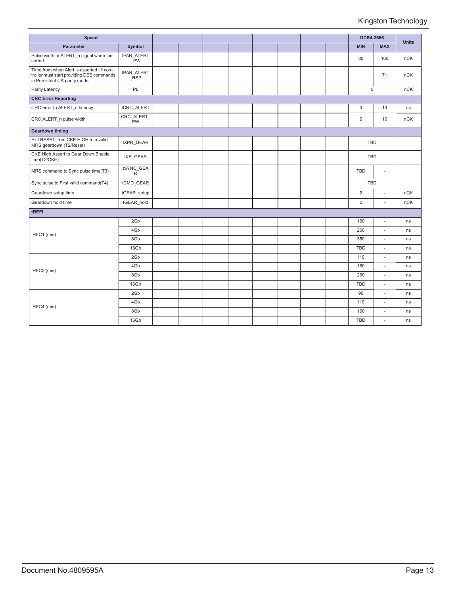| <b>Speed</b>                                                                                                            |                             |  |  |  |  | <b>DDR4-2666</b> |            |              |
|-------------------------------------------------------------------------------------------------------------------------|-----------------------------|--|--|--|--|------------------|------------|--------------|
| <b>Parameter</b>                                                                                                        | Symbol                      |  |  |  |  | <b>MIN</b>       | <b>MAX</b> | <b>Units</b> |
| Pulse width of ALERT n signal when as-<br>serted                                                                        | tPAR ALERT<br>$\bar{P}W$    |  |  |  |  | 80               | 160        | nCK          |
| Time from when Alert is asserted till con-<br>troller must start providing DES commands<br>in Persistent CA parity mode | tPAR ALERT<br><b>RSP</b>    |  |  |  |  |                  | 71         | nCK          |
| Parity Latency                                                                                                          | PL                          |  |  |  |  | 5                |            | nCK          |
| <b>CRC Error Reporting</b>                                                                                              |                             |  |  |  |  |                  |            |              |
| CRC error to ALERT n latency                                                                                            | tCRC_ALERT                  |  |  |  |  | 3                | 13         | ns           |
| CRC ALERT n pulse width                                                                                                 | CRC_ALERT_<br>$\bar{P}W$    |  |  |  |  | 6                | 10         | nCK          |
| <b>Geardown timing</b>                                                                                                  |                             |  |  |  |  |                  |            |              |
| Exit RESET from CKE HIGH to a valid<br>MRS geardown (T2/Reset)                                                          | tXPR GEAR                   |  |  |  |  | <b>TBD</b>       |            |              |
| CKE High Assert to Gear Down Enable<br>time(T2/CKE)                                                                     | tXS GEAR                    |  |  |  |  | <b>TBD</b>       |            |              |
| MRS command to Sync pulse time(T3)                                                                                      | tSYNC_GEA<br>$\overline{R}$ |  |  |  |  | <b>TBD</b>       | $\sim$     |              |
| Sync pulse to First valid command(T4)                                                                                   | tCMD_GEAR                   |  |  |  |  | <b>TBD</b>       |            |              |
| Geardown setup time                                                                                                     | tGEAR_setup                 |  |  |  |  | $\overline{2}$   | ÷.         | nCK          |
| Geardown hold time                                                                                                      | tGEAR hold                  |  |  |  |  | $\overline{2}$   | ÷.         | nCK          |
| tREFI                                                                                                                   |                             |  |  |  |  |                  |            |              |
|                                                                                                                         | 2Gb                         |  |  |  |  | 160              | L,         | ns           |
| tRFC1 (min)                                                                                                             | 4Gb                         |  |  |  |  | 260              | ÷          | ns           |
|                                                                                                                         | 8Gb                         |  |  |  |  | 350              | ÷.         | ns           |
|                                                                                                                         | 16Gb                        |  |  |  |  | <b>TBD</b>       | ٠          | ns           |
|                                                                                                                         | 2Gb                         |  |  |  |  | 110              | ÷.         | ns           |
| tRFC2 (min)                                                                                                             | 4Gb                         |  |  |  |  | 160              | ä,         | ns           |
|                                                                                                                         | 8Gb                         |  |  |  |  | 260              | ä,         | ns           |
|                                                                                                                         | 16Gb                        |  |  |  |  | <b>TBD</b>       | ÷,         | ns           |
|                                                                                                                         | 2Gb                         |  |  |  |  | 90               | ÷          | ns           |
|                                                                                                                         | 4Gb                         |  |  |  |  | 110              | ÷.         | ns           |
| tRFC4 (min)                                                                                                             | 8Gb                         |  |  |  |  | 160              | ٠          | ns           |
|                                                                                                                         | 16Gb                        |  |  |  |  | <b>TBD</b>       | ×.         | ns           |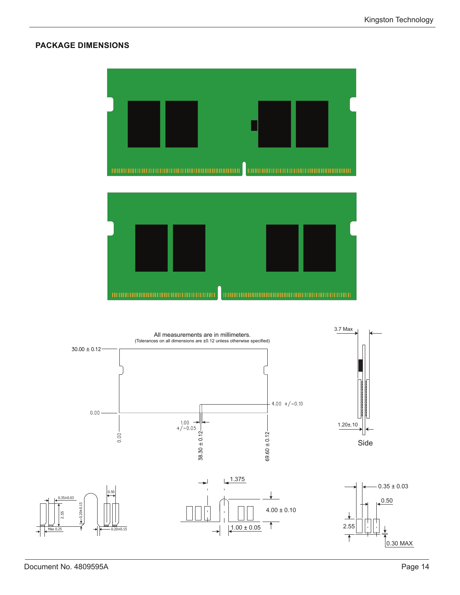#### **PACKAGE DIMENSIONS**



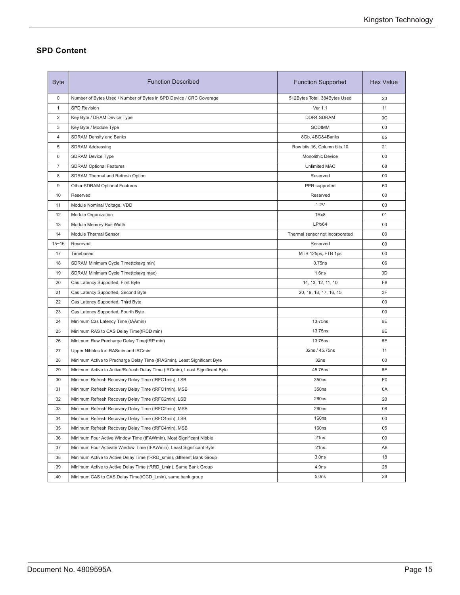### **SPD Content**

| <b>Byte</b>      | <b>Function Described</b>                                                    | <b>Function Supported</b>       | <b>Hex Value</b> |
|------------------|------------------------------------------------------------------------------|---------------------------------|------------------|
| $\mathbf 0$      | Number of Bytes Used / Number of Bytes in SPD Device / CRC Coverage          | 512Bytes Total, 384Bytes Used   | 23               |
| 1                | <b>SPD Revision</b>                                                          | Ver 1.1                         | 11               |
| 2                | Key Byte / DRAM Device Type                                                  | <b>DDR4 SDRAM</b>               | 0C               |
| 3                | Key Byte / Module Type                                                       | SODIMM                          | 03               |
| 4                | <b>SDRAM Density and Banks</b>                                               | 8Gb, 4BG&4Banks                 | 85               |
| 5                | <b>SDRAM Addressing</b>                                                      | Row bits 16, Column bits 10     | 21               |
| 6                | <b>SDRAM Device Type</b>                                                     | Monolithic Device               | $00\,$           |
| $\overline{7}$   | <b>SDRAM Optional Features</b>                                               | <b>Unlimited MAC</b>            | 08               |
| 8                | SDRAM Thermal and Refresh Option                                             | Reserved                        | 00               |
| $\boldsymbol{9}$ | Other SDRAM Optional Features                                                | PPR supported                   | 60               |
| 10               | Reserved                                                                     | Reserved                        | 00               |
| 11               | Module Nominal Voltage, VDD                                                  | 1.2V                            | 03               |
| 12               | Module Organization                                                          | 1Rx8                            | 01               |
| 13               | Module Memory Bus Width                                                      | LP/x64                          | 03               |
| 14               | Module Thermal Sensor                                                        | Thermal sensor not incorporated | $00\,$           |
| $15 - 16$        | Reserved                                                                     | Reserved                        | 00               |
| 17               | Timebases                                                                    | MTB 125ps, FTB 1ps              | 00               |
| 18               | SDRAM Minimum Cycle Time(tckavg min)                                         | 0.75ns                          | 06               |
| 19               | SDRAM Minimum Cycle Time(tckavg max)                                         | 1.6ns                           | 0D               |
| 20               | Cas Latency Supported, First Byte                                            | 14, 13, 12, 11, 10              | F <sub>8</sub>   |
| 21               | Cas Latency Supported, Second Byte                                           | 20, 19, 18, 17, 16, 15          | 3F               |
| 22               | Cas Latency Supported, Third Byte                                            |                                 | 00               |
| 23               | Cas Latency Supported, Fourth Byte                                           |                                 | 00               |
| 24               | Minimum Cas Latency Time (tAAmin)                                            | 13.75ns                         | 6E               |
| 25               | Minimum RAS to CAS Delay Time(tRCD min)                                      | 13.75ns                         | 6E               |
| 26               | Minimum Raw Precharge Delay Time(tRP min)                                    | 13.75ns                         | 6E               |
| 27               | Upper Nibbles for tRASmin and tRCmin                                         | 32ns / 45.75ns                  | 11               |
| 28               | Minimum Active to Precharge Delay Time (tRASmin), Least Significant Byte     | 32ns                            | 00               |
| 29               | Minimum Active to Active/Refresh Delay Time (tRCmin), Least Significant Byte | 45.75ns                         | 6E               |
| 30               | Minimum Refresh Recovery Delay Time (tRFC1min), LSB                          | 350ns                           | F <sub>0</sub>   |
| 31               | Minimum Refresh Recovery Delay Time (tRFC1min), MSB                          | 350ns                           | 0A               |
| 32               | Minimum Refresh Recovery Delay Time (tRFC2min), LSB                          | 260ns                           | 20               |
| 33               | Minimum Refresh Recovery Delay Time (tRFC2min), MSB                          | 260ns                           | 08               |
| 34               | Minimum Refresh Recovery Delay Time (tRFC4min), LSB                          | 160ns                           | 00               |
| 35               | Minimum Refresh Recovery Delay Time (tRFC4min), MSB                          | <b>160ns</b>                    | 05               |
| 36               | Minimum Four Active Window Time (tFAWmin), Most Significant Nibble           | 21ns                            | 00               |
| 37               | Minimum Four Activate Window Time (tFAWmin), Least Significant Byte          | 21ns                            | A8               |
| 38               | Minimum Active to Active Delay Time (tRRD_smin), different Bank Group        | 3.0 <sub>ns</sub>               | 18               |
| 39               | Minimum Active to Active Delay Time (tRRD Lmin), Same Bank Group             | 4.9ns                           | 28               |
| 40               | Minimum CAS to CAS Delay Time(tCCD_Lmin), same bank group                    | 5.0ns                           | 28               |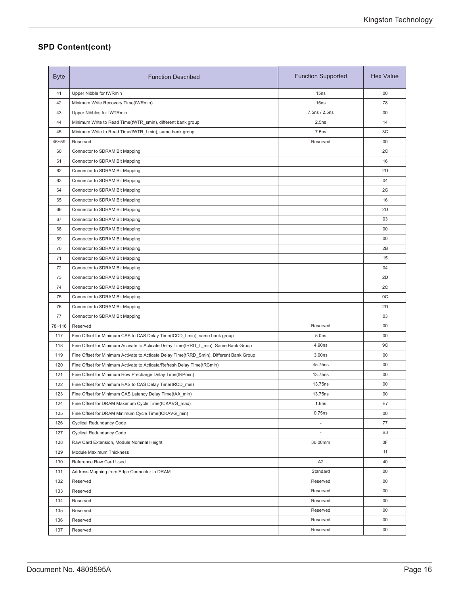## **SPD Content(cont)**

| 41<br>Upper Nibble for tWRmin<br>15ns<br>00<br>42<br>15 <sub>ns</sub><br>78<br>Minimum Write Recovery Time(tWRmin)<br>7.5ns / 2.5ns<br>43<br>Upper Nibbles for tWTRmin<br>00<br>44<br>2.5ns<br>14<br>Minimum Write to Read Time(tWTR_smin), different bank group<br>45<br>Minimum Write to Read Time(tWTR_Lmin), same bank group<br>7.5ns<br>3C<br>46~59<br>Reserved<br>00<br>Reserved<br>60<br>2C<br>Connector to SDRAM Bit Mapping<br>61<br>Connector to SDRAM Bit Mapping<br>16<br>62<br>2D<br>Connector to SDRAM Bit Mapping<br>63<br>04<br>Connector to SDRAM Bit Mapping<br>64<br>2C<br>Connector to SDRAM Bit Mapping<br>65<br>16<br>Connector to SDRAM Bit Mapping<br>2D<br>66<br>Connector to SDRAM Bit Mapping<br>67<br>03<br>Connector to SDRAM Bit Mapping<br>68<br>Connector to SDRAM Bit Mapping<br>00<br>69<br>00<br>Connector to SDRAM Bit Mapping<br>70<br>2B<br>Connector to SDRAM Bit Mapping<br>71<br>Connector to SDRAM Bit Mapping<br>15<br>72<br>04<br>Connector to SDRAM Bit Mapping<br>73<br>2D<br>Connector to SDRAM Bit Mapping<br>74<br>2C<br>Connector to SDRAM Bit Mapping<br>75<br>0C<br>Connector to SDRAM Bit Mapping<br>76<br>2D<br>Connector to SDRAM Bit Mapping<br>77<br>Connector to SDRAM Bit Mapping<br>03<br>78~116<br>Reserved<br>Reserved<br>00<br>00<br>117<br>5.0ns<br>Fine Offset for Minimum CAS to CAS Delay Time(tCCD_Lmin), same bank group<br>118<br>9C<br>Fine Offset for Minimum Activate to Acticate Delay Time(tRRD_L_min), Same Bank Group<br>4.90ns<br>119<br>3.00ns<br>00<br>Fine Offset for Minimum Activate to Acticate Delay Time(tRRD_Smin), Different Bank Group<br>120<br>45.75ns<br>Fine Offset for Minimum Activate to Acticate/Refresh Delay Time(tRCmin)<br>00<br>13.75ns<br>121<br>00<br>Fine Offset for Minimum Row Precharge Delay Time(tRPmin)<br>13.75ns<br>122<br>00<br>Fine Offset for Minimum RAS to CAS Delay Time(tRCD_min)<br>123<br>$00\,$<br>13.75ns<br>Fine Offset for Minimum CAS Latency Delay Time(tAA_min)<br>E7<br>Fine Offset for DRAM Maximum Cycle Time(tCKAVG_max)<br>124<br>1.6ns<br>125<br>Fine Offset for DRAM Minimum Cycle Time(tCKAVG min)<br>0.75ns<br>00<br>77<br>126<br>Cyclical Redundancy Code<br>$\blacksquare$<br>127<br>Cyclical Redundancy Code<br>B <sub>3</sub><br>J,<br>30.00mm<br>0F<br>128<br>Raw Card Extension, Module Nominal Height<br>129<br>Module Maximum Thickness<br>11<br>A <sub>2</sub><br>Reference Raw Card Used<br>40<br>130<br>Standard<br>$00\,$<br>131<br>Address Mapping from Edge Connector to DRAM<br>132<br>Reserved<br>00<br>Reserved<br>133<br>Reserved<br>00<br>Reserved<br>134<br>$00\,$<br>Reserved<br>Reserved<br>$00\,$<br>Reserved<br>135<br>Reserved<br>Reserved<br>$00\,$<br>136<br>Reserved<br>$00\,$<br>137<br>Reserved<br>Reserved | <b>Byte</b> | <b>Function Described</b> | <b>Function Supported</b> | <b>Hex Value</b> |
|-------------------------------------------------------------------------------------------------------------------------------------------------------------------------------------------------------------------------------------------------------------------------------------------------------------------------------------------------------------------------------------------------------------------------------------------------------------------------------------------------------------------------------------------------------------------------------------------------------------------------------------------------------------------------------------------------------------------------------------------------------------------------------------------------------------------------------------------------------------------------------------------------------------------------------------------------------------------------------------------------------------------------------------------------------------------------------------------------------------------------------------------------------------------------------------------------------------------------------------------------------------------------------------------------------------------------------------------------------------------------------------------------------------------------------------------------------------------------------------------------------------------------------------------------------------------------------------------------------------------------------------------------------------------------------------------------------------------------------------------------------------------------------------------------------------------------------------------------------------------------------------------------------------------------------------------------------------------------------------------------------------------------------------------------------------------------------------------------------------------------------------------------------------------------------------------------------------------------------------------------------------------------------------------------------------------------------------------------------------------------------------------------------------------------------------------------------------------------------------------------------------------------------------------------------------------------------------------------------------------------------------------------------------------------------------------------------------------------------------------------------------------------------------|-------------|---------------------------|---------------------------|------------------|
|                                                                                                                                                                                                                                                                                                                                                                                                                                                                                                                                                                                                                                                                                                                                                                                                                                                                                                                                                                                                                                                                                                                                                                                                                                                                                                                                                                                                                                                                                                                                                                                                                                                                                                                                                                                                                                                                                                                                                                                                                                                                                                                                                                                                                                                                                                                                                                                                                                                                                                                                                                                                                                                                                                                                                                                     |             |                           |                           |                  |
|                                                                                                                                                                                                                                                                                                                                                                                                                                                                                                                                                                                                                                                                                                                                                                                                                                                                                                                                                                                                                                                                                                                                                                                                                                                                                                                                                                                                                                                                                                                                                                                                                                                                                                                                                                                                                                                                                                                                                                                                                                                                                                                                                                                                                                                                                                                                                                                                                                                                                                                                                                                                                                                                                                                                                                                     |             |                           |                           |                  |
|                                                                                                                                                                                                                                                                                                                                                                                                                                                                                                                                                                                                                                                                                                                                                                                                                                                                                                                                                                                                                                                                                                                                                                                                                                                                                                                                                                                                                                                                                                                                                                                                                                                                                                                                                                                                                                                                                                                                                                                                                                                                                                                                                                                                                                                                                                                                                                                                                                                                                                                                                                                                                                                                                                                                                                                     |             |                           |                           |                  |
|                                                                                                                                                                                                                                                                                                                                                                                                                                                                                                                                                                                                                                                                                                                                                                                                                                                                                                                                                                                                                                                                                                                                                                                                                                                                                                                                                                                                                                                                                                                                                                                                                                                                                                                                                                                                                                                                                                                                                                                                                                                                                                                                                                                                                                                                                                                                                                                                                                                                                                                                                                                                                                                                                                                                                                                     |             |                           |                           |                  |
|                                                                                                                                                                                                                                                                                                                                                                                                                                                                                                                                                                                                                                                                                                                                                                                                                                                                                                                                                                                                                                                                                                                                                                                                                                                                                                                                                                                                                                                                                                                                                                                                                                                                                                                                                                                                                                                                                                                                                                                                                                                                                                                                                                                                                                                                                                                                                                                                                                                                                                                                                                                                                                                                                                                                                                                     |             |                           |                           |                  |
|                                                                                                                                                                                                                                                                                                                                                                                                                                                                                                                                                                                                                                                                                                                                                                                                                                                                                                                                                                                                                                                                                                                                                                                                                                                                                                                                                                                                                                                                                                                                                                                                                                                                                                                                                                                                                                                                                                                                                                                                                                                                                                                                                                                                                                                                                                                                                                                                                                                                                                                                                                                                                                                                                                                                                                                     |             |                           |                           |                  |
|                                                                                                                                                                                                                                                                                                                                                                                                                                                                                                                                                                                                                                                                                                                                                                                                                                                                                                                                                                                                                                                                                                                                                                                                                                                                                                                                                                                                                                                                                                                                                                                                                                                                                                                                                                                                                                                                                                                                                                                                                                                                                                                                                                                                                                                                                                                                                                                                                                                                                                                                                                                                                                                                                                                                                                                     |             |                           |                           |                  |
|                                                                                                                                                                                                                                                                                                                                                                                                                                                                                                                                                                                                                                                                                                                                                                                                                                                                                                                                                                                                                                                                                                                                                                                                                                                                                                                                                                                                                                                                                                                                                                                                                                                                                                                                                                                                                                                                                                                                                                                                                                                                                                                                                                                                                                                                                                                                                                                                                                                                                                                                                                                                                                                                                                                                                                                     |             |                           |                           |                  |
|                                                                                                                                                                                                                                                                                                                                                                                                                                                                                                                                                                                                                                                                                                                                                                                                                                                                                                                                                                                                                                                                                                                                                                                                                                                                                                                                                                                                                                                                                                                                                                                                                                                                                                                                                                                                                                                                                                                                                                                                                                                                                                                                                                                                                                                                                                                                                                                                                                                                                                                                                                                                                                                                                                                                                                                     |             |                           |                           |                  |
|                                                                                                                                                                                                                                                                                                                                                                                                                                                                                                                                                                                                                                                                                                                                                                                                                                                                                                                                                                                                                                                                                                                                                                                                                                                                                                                                                                                                                                                                                                                                                                                                                                                                                                                                                                                                                                                                                                                                                                                                                                                                                                                                                                                                                                                                                                                                                                                                                                                                                                                                                                                                                                                                                                                                                                                     |             |                           |                           |                  |
|                                                                                                                                                                                                                                                                                                                                                                                                                                                                                                                                                                                                                                                                                                                                                                                                                                                                                                                                                                                                                                                                                                                                                                                                                                                                                                                                                                                                                                                                                                                                                                                                                                                                                                                                                                                                                                                                                                                                                                                                                                                                                                                                                                                                                                                                                                                                                                                                                                                                                                                                                                                                                                                                                                                                                                                     |             |                           |                           |                  |
|                                                                                                                                                                                                                                                                                                                                                                                                                                                                                                                                                                                                                                                                                                                                                                                                                                                                                                                                                                                                                                                                                                                                                                                                                                                                                                                                                                                                                                                                                                                                                                                                                                                                                                                                                                                                                                                                                                                                                                                                                                                                                                                                                                                                                                                                                                                                                                                                                                                                                                                                                                                                                                                                                                                                                                                     |             |                           |                           |                  |
|                                                                                                                                                                                                                                                                                                                                                                                                                                                                                                                                                                                                                                                                                                                                                                                                                                                                                                                                                                                                                                                                                                                                                                                                                                                                                                                                                                                                                                                                                                                                                                                                                                                                                                                                                                                                                                                                                                                                                                                                                                                                                                                                                                                                                                                                                                                                                                                                                                                                                                                                                                                                                                                                                                                                                                                     |             |                           |                           |                  |
|                                                                                                                                                                                                                                                                                                                                                                                                                                                                                                                                                                                                                                                                                                                                                                                                                                                                                                                                                                                                                                                                                                                                                                                                                                                                                                                                                                                                                                                                                                                                                                                                                                                                                                                                                                                                                                                                                                                                                                                                                                                                                                                                                                                                                                                                                                                                                                                                                                                                                                                                                                                                                                                                                                                                                                                     |             |                           |                           |                  |
|                                                                                                                                                                                                                                                                                                                                                                                                                                                                                                                                                                                                                                                                                                                                                                                                                                                                                                                                                                                                                                                                                                                                                                                                                                                                                                                                                                                                                                                                                                                                                                                                                                                                                                                                                                                                                                                                                                                                                                                                                                                                                                                                                                                                                                                                                                                                                                                                                                                                                                                                                                                                                                                                                                                                                                                     |             |                           |                           |                  |
|                                                                                                                                                                                                                                                                                                                                                                                                                                                                                                                                                                                                                                                                                                                                                                                                                                                                                                                                                                                                                                                                                                                                                                                                                                                                                                                                                                                                                                                                                                                                                                                                                                                                                                                                                                                                                                                                                                                                                                                                                                                                                                                                                                                                                                                                                                                                                                                                                                                                                                                                                                                                                                                                                                                                                                                     |             |                           |                           |                  |
|                                                                                                                                                                                                                                                                                                                                                                                                                                                                                                                                                                                                                                                                                                                                                                                                                                                                                                                                                                                                                                                                                                                                                                                                                                                                                                                                                                                                                                                                                                                                                                                                                                                                                                                                                                                                                                                                                                                                                                                                                                                                                                                                                                                                                                                                                                                                                                                                                                                                                                                                                                                                                                                                                                                                                                                     |             |                           |                           |                  |
|                                                                                                                                                                                                                                                                                                                                                                                                                                                                                                                                                                                                                                                                                                                                                                                                                                                                                                                                                                                                                                                                                                                                                                                                                                                                                                                                                                                                                                                                                                                                                                                                                                                                                                                                                                                                                                                                                                                                                                                                                                                                                                                                                                                                                                                                                                                                                                                                                                                                                                                                                                                                                                                                                                                                                                                     |             |                           |                           |                  |
|                                                                                                                                                                                                                                                                                                                                                                                                                                                                                                                                                                                                                                                                                                                                                                                                                                                                                                                                                                                                                                                                                                                                                                                                                                                                                                                                                                                                                                                                                                                                                                                                                                                                                                                                                                                                                                                                                                                                                                                                                                                                                                                                                                                                                                                                                                                                                                                                                                                                                                                                                                                                                                                                                                                                                                                     |             |                           |                           |                  |
|                                                                                                                                                                                                                                                                                                                                                                                                                                                                                                                                                                                                                                                                                                                                                                                                                                                                                                                                                                                                                                                                                                                                                                                                                                                                                                                                                                                                                                                                                                                                                                                                                                                                                                                                                                                                                                                                                                                                                                                                                                                                                                                                                                                                                                                                                                                                                                                                                                                                                                                                                                                                                                                                                                                                                                                     |             |                           |                           |                  |
|                                                                                                                                                                                                                                                                                                                                                                                                                                                                                                                                                                                                                                                                                                                                                                                                                                                                                                                                                                                                                                                                                                                                                                                                                                                                                                                                                                                                                                                                                                                                                                                                                                                                                                                                                                                                                                                                                                                                                                                                                                                                                                                                                                                                                                                                                                                                                                                                                                                                                                                                                                                                                                                                                                                                                                                     |             |                           |                           |                  |
|                                                                                                                                                                                                                                                                                                                                                                                                                                                                                                                                                                                                                                                                                                                                                                                                                                                                                                                                                                                                                                                                                                                                                                                                                                                                                                                                                                                                                                                                                                                                                                                                                                                                                                                                                                                                                                                                                                                                                                                                                                                                                                                                                                                                                                                                                                                                                                                                                                                                                                                                                                                                                                                                                                                                                                                     |             |                           |                           |                  |
|                                                                                                                                                                                                                                                                                                                                                                                                                                                                                                                                                                                                                                                                                                                                                                                                                                                                                                                                                                                                                                                                                                                                                                                                                                                                                                                                                                                                                                                                                                                                                                                                                                                                                                                                                                                                                                                                                                                                                                                                                                                                                                                                                                                                                                                                                                                                                                                                                                                                                                                                                                                                                                                                                                                                                                                     |             |                           |                           |                  |
|                                                                                                                                                                                                                                                                                                                                                                                                                                                                                                                                                                                                                                                                                                                                                                                                                                                                                                                                                                                                                                                                                                                                                                                                                                                                                                                                                                                                                                                                                                                                                                                                                                                                                                                                                                                                                                                                                                                                                                                                                                                                                                                                                                                                                                                                                                                                                                                                                                                                                                                                                                                                                                                                                                                                                                                     |             |                           |                           |                  |
|                                                                                                                                                                                                                                                                                                                                                                                                                                                                                                                                                                                                                                                                                                                                                                                                                                                                                                                                                                                                                                                                                                                                                                                                                                                                                                                                                                                                                                                                                                                                                                                                                                                                                                                                                                                                                                                                                                                                                                                                                                                                                                                                                                                                                                                                                                                                                                                                                                                                                                                                                                                                                                                                                                                                                                                     |             |                           |                           |                  |
|                                                                                                                                                                                                                                                                                                                                                                                                                                                                                                                                                                                                                                                                                                                                                                                                                                                                                                                                                                                                                                                                                                                                                                                                                                                                                                                                                                                                                                                                                                                                                                                                                                                                                                                                                                                                                                                                                                                                                                                                                                                                                                                                                                                                                                                                                                                                                                                                                                                                                                                                                                                                                                                                                                                                                                                     |             |                           |                           |                  |
|                                                                                                                                                                                                                                                                                                                                                                                                                                                                                                                                                                                                                                                                                                                                                                                                                                                                                                                                                                                                                                                                                                                                                                                                                                                                                                                                                                                                                                                                                                                                                                                                                                                                                                                                                                                                                                                                                                                                                                                                                                                                                                                                                                                                                                                                                                                                                                                                                                                                                                                                                                                                                                                                                                                                                                                     |             |                           |                           |                  |
|                                                                                                                                                                                                                                                                                                                                                                                                                                                                                                                                                                                                                                                                                                                                                                                                                                                                                                                                                                                                                                                                                                                                                                                                                                                                                                                                                                                                                                                                                                                                                                                                                                                                                                                                                                                                                                                                                                                                                                                                                                                                                                                                                                                                                                                                                                                                                                                                                                                                                                                                                                                                                                                                                                                                                                                     |             |                           |                           |                  |
|                                                                                                                                                                                                                                                                                                                                                                                                                                                                                                                                                                                                                                                                                                                                                                                                                                                                                                                                                                                                                                                                                                                                                                                                                                                                                                                                                                                                                                                                                                                                                                                                                                                                                                                                                                                                                                                                                                                                                                                                                                                                                                                                                                                                                                                                                                                                                                                                                                                                                                                                                                                                                                                                                                                                                                                     |             |                           |                           |                  |
|                                                                                                                                                                                                                                                                                                                                                                                                                                                                                                                                                                                                                                                                                                                                                                                                                                                                                                                                                                                                                                                                                                                                                                                                                                                                                                                                                                                                                                                                                                                                                                                                                                                                                                                                                                                                                                                                                                                                                                                                                                                                                                                                                                                                                                                                                                                                                                                                                                                                                                                                                                                                                                                                                                                                                                                     |             |                           |                           |                  |
|                                                                                                                                                                                                                                                                                                                                                                                                                                                                                                                                                                                                                                                                                                                                                                                                                                                                                                                                                                                                                                                                                                                                                                                                                                                                                                                                                                                                                                                                                                                                                                                                                                                                                                                                                                                                                                                                                                                                                                                                                                                                                                                                                                                                                                                                                                                                                                                                                                                                                                                                                                                                                                                                                                                                                                                     |             |                           |                           |                  |
|                                                                                                                                                                                                                                                                                                                                                                                                                                                                                                                                                                                                                                                                                                                                                                                                                                                                                                                                                                                                                                                                                                                                                                                                                                                                                                                                                                                                                                                                                                                                                                                                                                                                                                                                                                                                                                                                                                                                                                                                                                                                                                                                                                                                                                                                                                                                                                                                                                                                                                                                                                                                                                                                                                                                                                                     |             |                           |                           |                  |
|                                                                                                                                                                                                                                                                                                                                                                                                                                                                                                                                                                                                                                                                                                                                                                                                                                                                                                                                                                                                                                                                                                                                                                                                                                                                                                                                                                                                                                                                                                                                                                                                                                                                                                                                                                                                                                                                                                                                                                                                                                                                                                                                                                                                                                                                                                                                                                                                                                                                                                                                                                                                                                                                                                                                                                                     |             |                           |                           |                  |
|                                                                                                                                                                                                                                                                                                                                                                                                                                                                                                                                                                                                                                                                                                                                                                                                                                                                                                                                                                                                                                                                                                                                                                                                                                                                                                                                                                                                                                                                                                                                                                                                                                                                                                                                                                                                                                                                                                                                                                                                                                                                                                                                                                                                                                                                                                                                                                                                                                                                                                                                                                                                                                                                                                                                                                                     |             |                           |                           |                  |
|                                                                                                                                                                                                                                                                                                                                                                                                                                                                                                                                                                                                                                                                                                                                                                                                                                                                                                                                                                                                                                                                                                                                                                                                                                                                                                                                                                                                                                                                                                                                                                                                                                                                                                                                                                                                                                                                                                                                                                                                                                                                                                                                                                                                                                                                                                                                                                                                                                                                                                                                                                                                                                                                                                                                                                                     |             |                           |                           |                  |
|                                                                                                                                                                                                                                                                                                                                                                                                                                                                                                                                                                                                                                                                                                                                                                                                                                                                                                                                                                                                                                                                                                                                                                                                                                                                                                                                                                                                                                                                                                                                                                                                                                                                                                                                                                                                                                                                                                                                                                                                                                                                                                                                                                                                                                                                                                                                                                                                                                                                                                                                                                                                                                                                                                                                                                                     |             |                           |                           |                  |
|                                                                                                                                                                                                                                                                                                                                                                                                                                                                                                                                                                                                                                                                                                                                                                                                                                                                                                                                                                                                                                                                                                                                                                                                                                                                                                                                                                                                                                                                                                                                                                                                                                                                                                                                                                                                                                                                                                                                                                                                                                                                                                                                                                                                                                                                                                                                                                                                                                                                                                                                                                                                                                                                                                                                                                                     |             |                           |                           |                  |
|                                                                                                                                                                                                                                                                                                                                                                                                                                                                                                                                                                                                                                                                                                                                                                                                                                                                                                                                                                                                                                                                                                                                                                                                                                                                                                                                                                                                                                                                                                                                                                                                                                                                                                                                                                                                                                                                                                                                                                                                                                                                                                                                                                                                                                                                                                                                                                                                                                                                                                                                                                                                                                                                                                                                                                                     |             |                           |                           |                  |
|                                                                                                                                                                                                                                                                                                                                                                                                                                                                                                                                                                                                                                                                                                                                                                                                                                                                                                                                                                                                                                                                                                                                                                                                                                                                                                                                                                                                                                                                                                                                                                                                                                                                                                                                                                                                                                                                                                                                                                                                                                                                                                                                                                                                                                                                                                                                                                                                                                                                                                                                                                                                                                                                                                                                                                                     |             |                           |                           |                  |
|                                                                                                                                                                                                                                                                                                                                                                                                                                                                                                                                                                                                                                                                                                                                                                                                                                                                                                                                                                                                                                                                                                                                                                                                                                                                                                                                                                                                                                                                                                                                                                                                                                                                                                                                                                                                                                                                                                                                                                                                                                                                                                                                                                                                                                                                                                                                                                                                                                                                                                                                                                                                                                                                                                                                                                                     |             |                           |                           |                  |
|                                                                                                                                                                                                                                                                                                                                                                                                                                                                                                                                                                                                                                                                                                                                                                                                                                                                                                                                                                                                                                                                                                                                                                                                                                                                                                                                                                                                                                                                                                                                                                                                                                                                                                                                                                                                                                                                                                                                                                                                                                                                                                                                                                                                                                                                                                                                                                                                                                                                                                                                                                                                                                                                                                                                                                                     |             |                           |                           |                  |
|                                                                                                                                                                                                                                                                                                                                                                                                                                                                                                                                                                                                                                                                                                                                                                                                                                                                                                                                                                                                                                                                                                                                                                                                                                                                                                                                                                                                                                                                                                                                                                                                                                                                                                                                                                                                                                                                                                                                                                                                                                                                                                                                                                                                                                                                                                                                                                                                                                                                                                                                                                                                                                                                                                                                                                                     |             |                           |                           |                  |
|                                                                                                                                                                                                                                                                                                                                                                                                                                                                                                                                                                                                                                                                                                                                                                                                                                                                                                                                                                                                                                                                                                                                                                                                                                                                                                                                                                                                                                                                                                                                                                                                                                                                                                                                                                                                                                                                                                                                                                                                                                                                                                                                                                                                                                                                                                                                                                                                                                                                                                                                                                                                                                                                                                                                                                                     |             |                           |                           |                  |
|                                                                                                                                                                                                                                                                                                                                                                                                                                                                                                                                                                                                                                                                                                                                                                                                                                                                                                                                                                                                                                                                                                                                                                                                                                                                                                                                                                                                                                                                                                                                                                                                                                                                                                                                                                                                                                                                                                                                                                                                                                                                                                                                                                                                                                                                                                                                                                                                                                                                                                                                                                                                                                                                                                                                                                                     |             |                           |                           |                  |
|                                                                                                                                                                                                                                                                                                                                                                                                                                                                                                                                                                                                                                                                                                                                                                                                                                                                                                                                                                                                                                                                                                                                                                                                                                                                                                                                                                                                                                                                                                                                                                                                                                                                                                                                                                                                                                                                                                                                                                                                                                                                                                                                                                                                                                                                                                                                                                                                                                                                                                                                                                                                                                                                                                                                                                                     |             |                           |                           |                  |
|                                                                                                                                                                                                                                                                                                                                                                                                                                                                                                                                                                                                                                                                                                                                                                                                                                                                                                                                                                                                                                                                                                                                                                                                                                                                                                                                                                                                                                                                                                                                                                                                                                                                                                                                                                                                                                                                                                                                                                                                                                                                                                                                                                                                                                                                                                                                                                                                                                                                                                                                                                                                                                                                                                                                                                                     |             |                           |                           |                  |